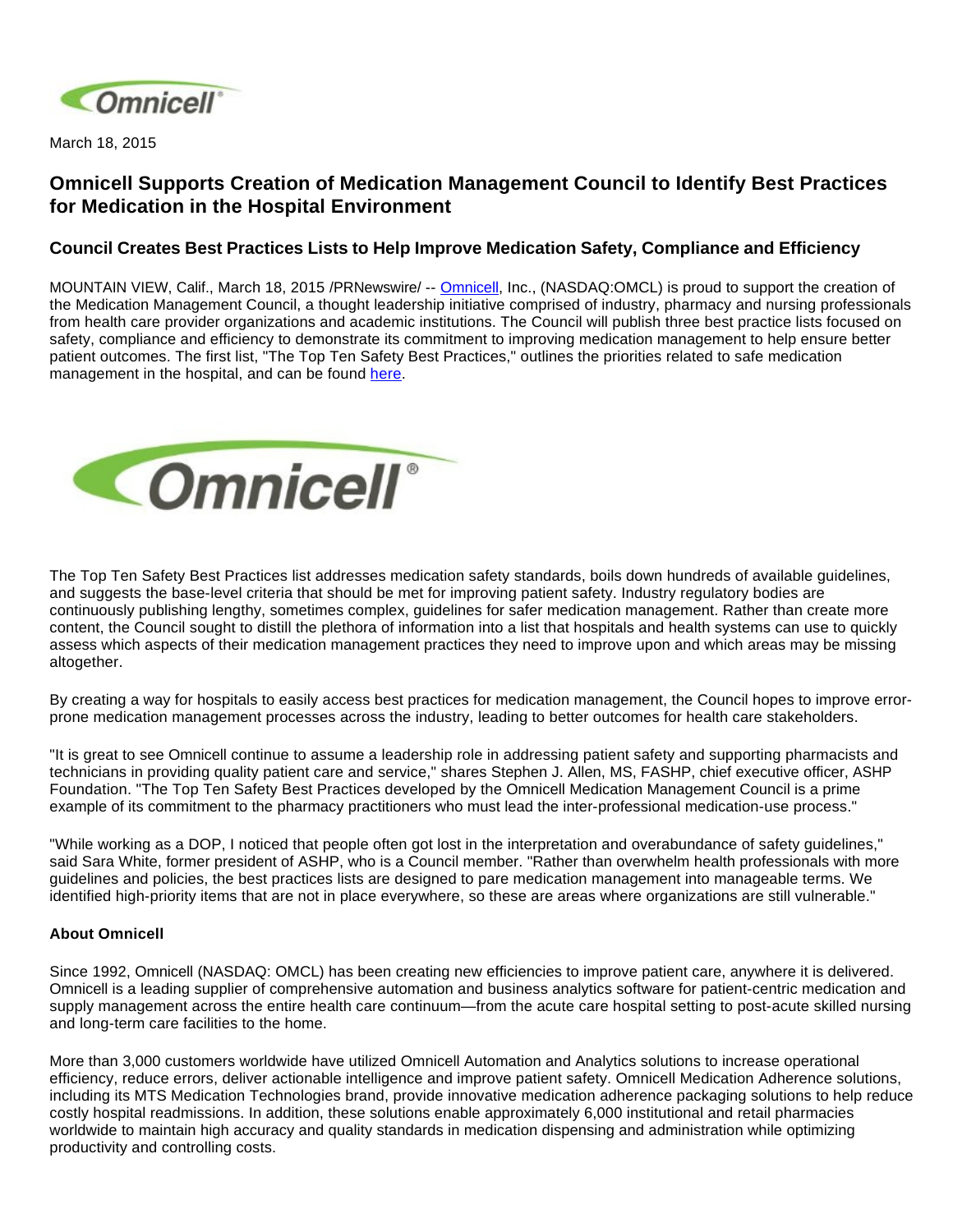

March 18, 2015

## **Omnicell Supports Creation of Medication Management Council to Identify Best Practices for Medication in the Hospital Environment**

## **Council Creates Best Practices Lists to Help Improve Medication Safety, Compliance and Efficiency**

MOUNTAIN VIEW, Calif., March 18, 2015 /PRNewswire/ -- [Omnicell,](http://www.omnicell.com/) Inc., (NASDAQ:OMCL) is proud to support the creation of the Medication Management Council, a thought leadership initiative comprised of industry, pharmacy and nursing professionals from health care provider organizations and academic institutions. The Council will publish three best practice lists focused on safety, compliance and efficiency to demonstrate its commitment to improving medication management to help ensure better patient outcomes. The first list, "The Top Ten Safety Best Practices," outlines the priorities related to safe medication management in the hospital, and can be found [here](http://www.omnicell.com/sitecore/shell/Applications/~/media/Files/PDFs/Omnicell_Medication_Management_Council_-_Background_and_Top_10_Safety_Best_Practices.pdf).



The Top Ten Safety Best Practices list addresses medication safety standards, boils down hundreds of available guidelines, and suggests the base-level criteria that should be met for improving patient safety. Industry regulatory bodies are continuously publishing lengthy, sometimes complex, guidelines for safer medication management. Rather than create more content, the Council sought to distill the plethora of information into a list that hospitals and health systems can use to quickly assess which aspects of their medication management practices they need to improve upon and which areas may be missing altogether.

By creating a way for hospitals to easily access best practices for medication management, the Council hopes to improve errorprone medication management processes across the industry, leading to better outcomes for health care stakeholders.

"It is great to see Omnicell continue to assume a leadership role in addressing patient safety and supporting pharmacists and technicians in providing quality patient care and service," shares Stephen J. Allen, MS, FASHP, chief executive officer, ASHP Foundation. "The Top Ten Safety Best Practices developed by the Omnicell Medication Management Council is a prime example of its commitment to the pharmacy practitioners who must lead the inter-professional medication-use process."

"While working as a DOP, I noticed that people often got lost in the interpretation and overabundance of safety guidelines," said Sara White, former president of ASHP, who is a Council member. "Rather than overwhelm health professionals with more guidelines and policies, the best practices lists are designed to pare medication management into manageable terms. We identified high-priority items that are not in place everywhere, so these are areas where organizations are still vulnerable."

## **About Omnicell**

Since 1992, Omnicell (NASDAQ: OMCL) has been creating new efficiencies to improve patient care, anywhere it is delivered. Omnicell is a leading supplier of comprehensive automation and business analytics software for patient-centric medication and supply management across the entire health care continuum—from the acute care hospital setting to post-acute skilled nursing and long-term care facilities to the home.

More than 3,000 customers worldwide have utilized Omnicell Automation and Analytics solutions to increase operational efficiency, reduce errors, deliver actionable intelligence and improve patient safety. Omnicell Medication Adherence solutions, including its MTS Medication Technologies brand, provide innovative medication adherence packaging solutions to help reduce costly hospital readmissions. In addition, these solutions enable approximately 6,000 institutional and retail pharmacies worldwide to maintain high accuracy and quality standards in medication dispensing and administration while optimizing productivity and controlling costs.